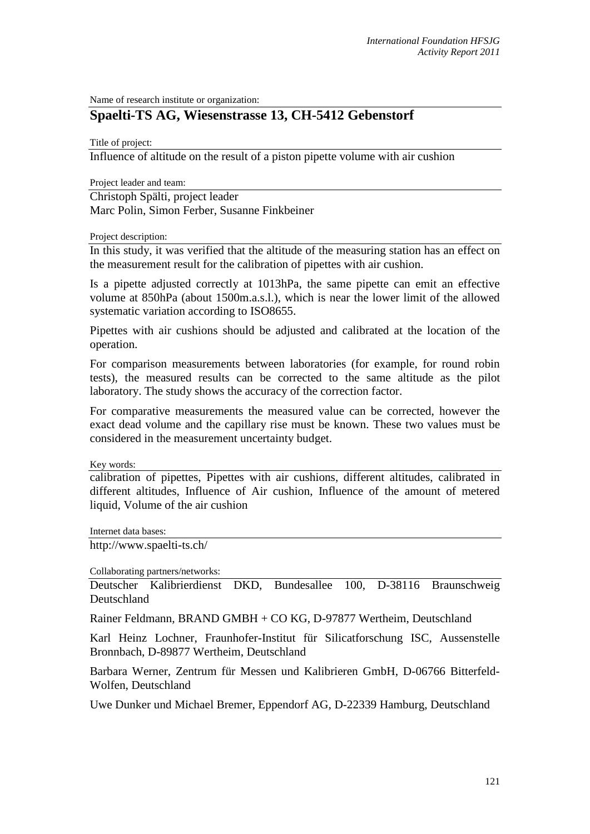Name of research institute or organization:

## **Spaelti-TS AG, Wiesenstrasse 13, CH-5412 Gebenstorf**

Title of project:

Influence of altitude on the result of a piston pipette volume with air cushion

Project leader and team:

Christoph Spälti, project leader Marc Polin, Simon Ferber, Susanne Finkbeiner

Project description:

In this study, it was verified that the altitude of the measuring station has an effect on the measurement result for the calibration of pipettes with air cushion.

Is a pipette adjusted correctly at 1013hPa, the same pipette can emit an effective volume at 850hPa (about 1500m.a.s.l.), which is near the lower limit of the allowed systematic variation according to ISO8655.

Pipettes with air cushions should be adjusted and calibrated at the location of the operation.

For comparison measurements between laboratories (for example, for round robin tests), the measured results can be corrected to the same altitude as the pilot laboratory. The study shows the accuracy of the correction factor.

For comparative measurements the measured value can be corrected, however the exact dead volume and the capillary rise must be known. These two values must be considered in the measurement uncertainty budget.

Key words:

calibration of pipettes, Pipettes with air cushions, different altitudes, calibrated in different altitudes, Influence of Air cushion, Influence of the amount of metered liquid, Volume of the air cushion

Internet data bases:

http://www.spaelti-ts.ch/

Collaborating partners/networks:

Deutscher Kalibrierdienst DKD, Bundesallee 100, D-38116 Braunschweig Deutschland

Rainer Feldmann, BRAND GMBH + CO KG, D-97877 Wertheim, Deutschland

Karl Heinz Lochner, Fraunhofer-Institut für Silicatforschung ISC, Aussenstelle Bronnbach, D-89877 Wertheim, Deutschland

Barbara Werner, Zentrum für Messen und Kalibrieren GmbH, D-06766 Bitterfeld-Wolfen, Deutschland

Uwe Dunker und Michael Bremer, Eppendorf AG, D-22339 Hamburg, Deutschland